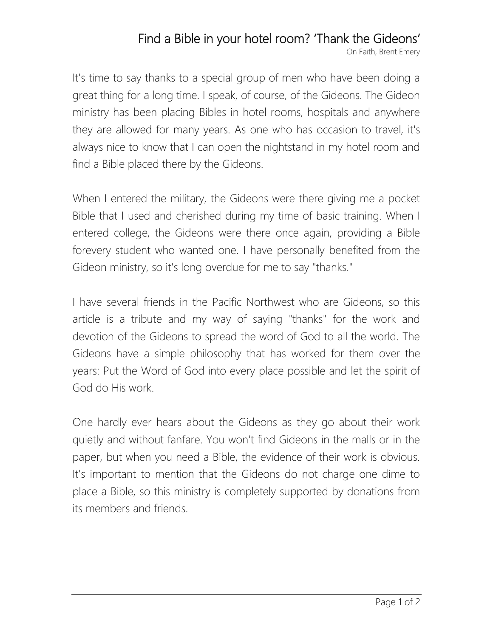## Find a Bible in your hotel room? 'Thank the Gideons' On Faith, Brent Emery

It's time to say thanks to a special group of men who have been doing a great thing for a long time. I speak, of course, of the Gideons. The Gideon ministry has been placing Bibles in hotel rooms, hospitals and anywhere they are allowed for many years. As one who has occasion to travel, it's always nice to know that I can open the nightstand in my hotel room and find a Bible placed there by the Gideons.

When I entered the military, the Gideons were there giving me a pocket Bible that I used and cherished during my time of basic training. When I entered college, the Gideons were there once again, providing a Bible forevery student who wanted one. I have personally benefited from the Gideon ministry, so it's long overdue for me to say "thanks."

I have several friends in the Pacific Northwest who are Gideons, so this article is a tribute and my way of saying "thanks" for the work and devotion of the Gideons to spread the word of God to all the world. The Gideons have a simple philosophy that has worked for them over the years: Put the Word of God into every place possible and let the spirit of God do His work.

One hardly ever hears about the Gideons as they go about their work quietly and without fanfare. You won't find Gideons in the malls or in the paper, but when you need a Bible, the evidence of their work is obvious. It's important to mention that the Gideons do not charge one dime to place a Bible, so this ministry is completely supported by donations from its members and friends.